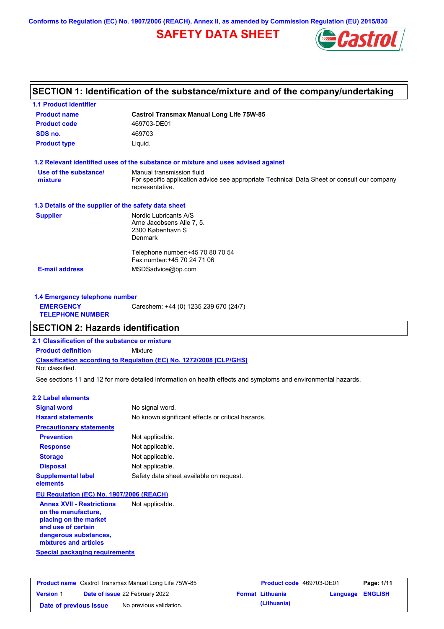**Conforms to Regulation (EC) No. 1907/2006 (REACH), Annex II, as amended by Commission Regulation (EU) 2015/830**

## **SAFETY DATA SHEET**



## **SECTION 1: Identification of the substance/mixture and of the company/undertaking**

| <b>Product name</b>                                  | <b>Castrol Transmax Manual Long Life 75W-85</b>                                                                |
|------------------------------------------------------|----------------------------------------------------------------------------------------------------------------|
| <b>Product code</b>                                  | 469703-DE01                                                                                                    |
| SDS no.                                              | 469703                                                                                                         |
| <b>Product type</b>                                  | Liquid.                                                                                                        |
|                                                      | 1.2 Relevant identified uses of the substance or mixture and uses advised against                              |
| Use of the substance/                                | Manual transmission fluid                                                                                      |
| mixture                                              | For specific application advice see appropriate Technical Data Sheet or consult our company<br>representative. |
| 1.3 Details of the supplier of the safety data sheet |                                                                                                                |
| <b>Supplier</b>                                      | Nordic Lubricants A/S                                                                                          |
|                                                      | Arne Jacobsens Alle 7, 5.                                                                                      |
|                                                      | 2300 København S                                                                                               |
|                                                      | <b>Denmark</b>                                                                                                 |
|                                                      | Telephone number: +45 70 80 70 54                                                                              |
|                                                      | Fax number: +45 70 24 71 06                                                                                    |
| <b>E-mail address</b>                                | MSDSadvice@bp.com                                                                                              |

| 1.4 Emergency telephone number              |                                       |  |  |
|---------------------------------------------|---------------------------------------|--|--|
| <b>EMERGENCY</b><br><b>TELEPHONE NUMBER</b> | Carechem: +44 (0) 1235 239 670 (24/7) |  |  |

## **SECTION 2: Hazards identification**

**2.1 Classification of the substance or mixture**

**Classification according to Regulation (EC) No. 1272/2008 [CLP/GHS] Product definition** Mixture

Not classified.

See sections 11 and 12 for more detailed information on health effects and symptoms and environmental hazards.

#### **2.2 Label elements**

| <b>Signal word</b>                                     | No signal word.                                   |
|--------------------------------------------------------|---------------------------------------------------|
| <b>Hazard statements</b>                               | No known significant effects or critical hazards. |
| <b>Precautionary statements</b>                        |                                                   |
| <b>Prevention</b>                                      | Not applicable.                                   |
| <b>Response</b>                                        | Not applicable.                                   |
| <b>Storage</b>                                         | Not applicable.                                   |
| <b>Disposal</b>                                        | Not applicable.                                   |
| <b>Supplemental label</b><br>elements                  | Safety data sheet available on request.           |
| EU Regulation (EC) No. 1907/2006 (REACH)               |                                                   |
| <b>Annex XVII - Restrictions</b><br>on the manufacture | Not applicable.                                   |

**Special packaging requirements on the manufacture, placing on the market and use of certain dangerous substances, mixtures and articles**

| <b>Product name</b> Castrol Transmax Manual Long Life 75W-85 |  | <b>Product code</b> 469703-DE01       |  | Page: 1/11              |                         |  |
|--------------------------------------------------------------|--|---------------------------------------|--|-------------------------|-------------------------|--|
| <b>Version 1</b>                                             |  | <b>Date of issue 22 February 2022</b> |  | <b>Format Lithuania</b> | <b>Language ENGLISH</b> |  |
| Date of previous issue                                       |  | No previous validation.               |  | (Lithuania)             |                         |  |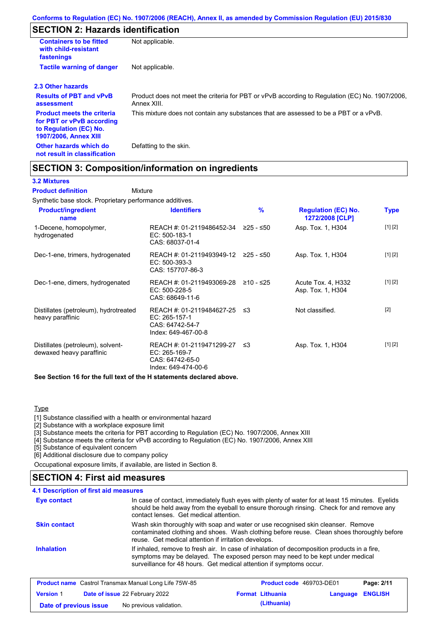# **SECTION 2: Hazards identification**

| <b>Containers to be fitted</b><br>with child-resistant<br>fastenings                                                     | Not applicable.                                                                                               |
|--------------------------------------------------------------------------------------------------------------------------|---------------------------------------------------------------------------------------------------------------|
| <b>Tactile warning of danger</b>                                                                                         | Not applicable.                                                                                               |
| 2.3 Other hazards                                                                                                        |                                                                                                               |
| <b>Results of PBT and vPvB</b><br>assessment                                                                             | Product does not meet the criteria for PBT or vPvB according to Regulation (EC) No. 1907/2006,<br>Annex XIII. |
| <b>Product meets the criteria</b><br>for PBT or vPvB according<br>to Regulation (EC) No.<br><b>1907/2006, Annex XIII</b> | This mixture does not contain any substances that are assessed to be a PBT or a vPvB.                         |
| Other hazards which do<br>not result in classification                                                                   | Defatting to the skin.                                                                                        |

## **SECTION 3: Composition/information on ingredients**

Mixture

#### **3.2 Mixtures**

**Product definition**

Synthetic base stock. Proprietary performance additives.

| <b>Product/ingredient</b><br>name                             | <b>Identifiers</b>                                                                      | $\%$      | <b>Regulation (EC) No.</b><br>1272/2008 [CLP] | Type    |
|---------------------------------------------------------------|-----------------------------------------------------------------------------------------|-----------|-----------------------------------------------|---------|
| 1-Decene, homopolymer,<br>hydrogenated                        | REACH #: 01-2119486452-34<br>EC: 500-183-1<br>CAS: 68037-01-4                           | ≥25 - ≤50 | Asp. Tox. 1, H304                             | [1] [2] |
| Dec-1-ene, trimers, hydrogenated                              | REACH #: 01-2119493949-12<br>EC: 500-393-3<br>CAS: 157707-86-3                          | ≥25 - ≤50 | Asp. Tox. 1, H304                             | [1] [2] |
| Dec-1-ene, dimers, hydrogenated                               | REACH #: 01-2119493069-28<br>EC: 500-228-5<br>CAS: 68649-11-6                           | ≥10 - ≤25 | Acute Tox. 4, H332<br>Asp. Tox. 1, H304       | [1] [2] |
| Distillates (petroleum), hydrotreated<br>heavy paraffinic     | REACH #: 01-2119484627-25 ≤3<br>EC: 265-157-1<br>CAS: 64742-54-7<br>Index: 649-467-00-8 |           | Not classified.                               | $[2]$   |
| Distillates (petroleum), solvent-<br>dewaxed heavy paraffinic | REACH #: 01-2119471299-27<br>EC: 265-169-7<br>CAS: 64742-65-0<br>Index: 649-474-00-6    | ב≥        | Asp. Tox. 1, H304                             | [1] [2] |

**See Section 16 for the full text of the H statements declared above.**

#### **Type**

[1] Substance classified with a health or environmental hazard

[2] Substance with a workplace exposure limit

[3] Substance meets the criteria for PBT according to Regulation (EC) No. 1907/2006, Annex XIII

[4] Substance meets the criteria for vPvB according to Regulation (EC) No. 1907/2006, Annex XIII

[5] Substance of equivalent concern

[6] Additional disclosure due to company policy

Occupational exposure limits, if available, are listed in Section 8.

## **SECTION 4: First aid measures**

#### **4.1 Description of first aid measures**

| <b>Eye contact</b>  | In case of contact, immediately flush eyes with plenty of water for at least 15 minutes. Eyelids<br>should be held away from the eyeball to ensure thorough rinsing. Check for and remove any<br>contact lenses. Get medical attention.             |
|---------------------|-----------------------------------------------------------------------------------------------------------------------------------------------------------------------------------------------------------------------------------------------------|
| <b>Skin contact</b> | Wash skin thoroughly with soap and water or use recognised skin cleanser. Remove<br>contaminated clothing and shoes. Wash clothing before reuse. Clean shoes thoroughly before<br>reuse. Get medical attention if irritation develops.              |
| <b>Inhalation</b>   | If inhaled, remove to fresh air. In case of inhalation of decomposition products in a fire,<br>symptoms may be delayed. The exposed person may need to be kept under medical<br>surveillance for 48 hours. Get medical attention if symptoms occur. |

|                        | <b>Product name</b> Castrol Transmax Manual Long Life 75W-85 | <b>Product code</b> 469703-DE01 |                         | Page: 2/11 |
|------------------------|--------------------------------------------------------------|---------------------------------|-------------------------|------------|
| <b>Version 1</b>       | <b>Date of issue 22 February 2022</b>                        | <b>Format Lithuania</b>         | <b>Language ENGLISH</b> |            |
| Date of previous issue | No previous validation.                                      | (Lithuania)                     |                         |            |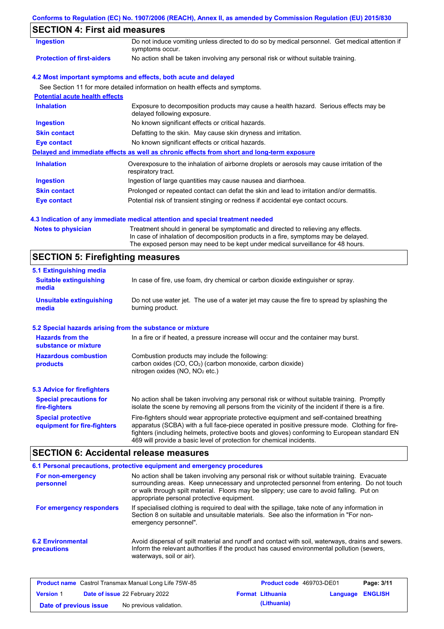### **Conforms to Regulation (EC) No. 1907/2006 (REACH), Annex II, as amended by Commission Regulation (EU) 2015/830**

## **SECTION 4: First aid measures**

| Ingestion                             | Do not induce vomiting unless directed to do so by medical personnel. Get medical attention if<br>symptoms occur.   |  |
|---------------------------------------|---------------------------------------------------------------------------------------------------------------------|--|
| <b>Protection of first-aiders</b>     | No action shall be taken involving any personal risk or without suitable training.                                  |  |
|                                       | 4.2 Most important symptoms and effects, both acute and delayed                                                     |  |
|                                       | See Section 11 for more detailed information on health effects and symptoms.                                        |  |
| <b>Potential acute health effects</b> |                                                                                                                     |  |
| <b>Inhalation</b>                     | Exposure to decomposition products may cause a health hazard. Serious effects may be<br>delayed following exposure. |  |
| <b>Ingestion</b>                      | No known significant effects or critical hazards.                                                                   |  |
| <b>Skin contact</b>                   | Defatting to the skin. May cause skin dryness and irritation.                                                       |  |
| Eye contact                           | No known significant effects or critical hazards.                                                                   |  |
|                                       | Delayed and immediate effects as well as chronic effects from short and long-term exposure                          |  |
| <b>Inhalation</b>                     | Overexposure to the inhalation of airborne droplets or aerosols may cause irritation of the<br>respiratory tract.   |  |
| <b>Ingestion</b>                      | Ingestion of large quantities may cause nausea and diarrhoea.                                                       |  |
| <b>Skin contact</b>                   | Prolonged or repeated contact can defat the skin and lead to irritation and/or dermatitis.                          |  |
| Eye contact                           | Potential risk of transient stinging or redness if accidental eye contact occurs.                                   |  |

#### **4.3 Indication of any immediate medical attention and special treatment needed**

| In case of inhalation of decomposition products in a fire, symptoms may be delayed. |  |
|-------------------------------------------------------------------------------------|--|
|                                                                                     |  |
| The exposed person may need to be kept under medical surveillance for 48 hours.     |  |

# **SECTION 5: Firefighting measures**

| 5.1 Extinguishing media                                   |                                                                                                                                                                                                                                                                                                                                                                   |  |  |  |
|-----------------------------------------------------------|-------------------------------------------------------------------------------------------------------------------------------------------------------------------------------------------------------------------------------------------------------------------------------------------------------------------------------------------------------------------|--|--|--|
| <b>Suitable extinguishing</b><br>media                    | In case of fire, use foam, dry chemical or carbon dioxide extinguisher or spray.                                                                                                                                                                                                                                                                                  |  |  |  |
| <b>Unsuitable extinguishing</b><br>media                  | Do not use water jet. The use of a water jet may cause the fire to spread by splashing the<br>burning product.                                                                                                                                                                                                                                                    |  |  |  |
| 5.2 Special hazards arising from the substance or mixture |                                                                                                                                                                                                                                                                                                                                                                   |  |  |  |
| <b>Hazards from the</b><br>substance or mixture           | In a fire or if heated, a pressure increase will occur and the container may burst.                                                                                                                                                                                                                                                                               |  |  |  |
| <b>Hazardous combustion</b><br>products                   | Combustion products may include the following:<br>carbon oxides $(CO, CO2)$ (carbon monoxide, carbon dioxide)<br>nitrogen oxides ( $NO$ , $NO2$ etc.)                                                                                                                                                                                                             |  |  |  |
| <b>5.3 Advice for firefighters</b>                        |                                                                                                                                                                                                                                                                                                                                                                   |  |  |  |
| <b>Special precautions for</b><br>fire-fighters           | No action shall be taken involving any personal risk or without suitable training. Promptly<br>isolate the scene by removing all persons from the vicinity of the incident if there is a fire.                                                                                                                                                                    |  |  |  |
| <b>Special protective</b><br>equipment for fire-fighters  | Fire-fighters should wear appropriate protective equipment and self-contained breathing<br>apparatus (SCBA) with a full face-piece operated in positive pressure mode. Clothing for fire-<br>fighters (including helmets, protective boots and gloves) conforming to European standard EN<br>469 will provide a basic level of protection for chemical incidents. |  |  |  |

## **SECTION 6: Accidental release measures**

|                                         | 6.1 Personal precautions, protective equipment and emergency procedures                                                                                                                                                                                                                                                             |
|-----------------------------------------|-------------------------------------------------------------------------------------------------------------------------------------------------------------------------------------------------------------------------------------------------------------------------------------------------------------------------------------|
| For non-emergency<br>personnel          | No action shall be taken involving any personal risk or without suitable training. Evacuate<br>surrounding areas. Keep unnecessary and unprotected personnel from entering. Do not touch<br>or walk through spilt material. Floors may be slippery; use care to avoid falling. Put on<br>appropriate personal protective equipment. |
| For emergency responders                | If specialised clothing is required to deal with the spillage, take note of any information in<br>Section 8 on suitable and unsuitable materials. See also the information in "For non-<br>emergency personnel".                                                                                                                    |
| <b>6.2 Environmental</b><br>precautions | Avoid dispersal of spilt material and runoff and contact with soil, waterways, drains and sewers.<br>Inform the relevant authorities if the product has caused environmental pollution (sewers,<br>waterways, soil or air).                                                                                                         |

| <b>Product name</b> Castrol Transmax Manual Long Life 75W-85 |  |                                       | <b>Product code</b> 469703-DE01 | Page: 3/11              |                         |  |
|--------------------------------------------------------------|--|---------------------------------------|---------------------------------|-------------------------|-------------------------|--|
| <b>Version 1</b>                                             |  | <b>Date of issue 22 February 2022</b> |                                 | <b>Format Lithuania</b> | <b>Language ENGLISH</b> |  |
| Date of previous issue                                       |  | No previous validation.               |                                 | (Lithuania)             |                         |  |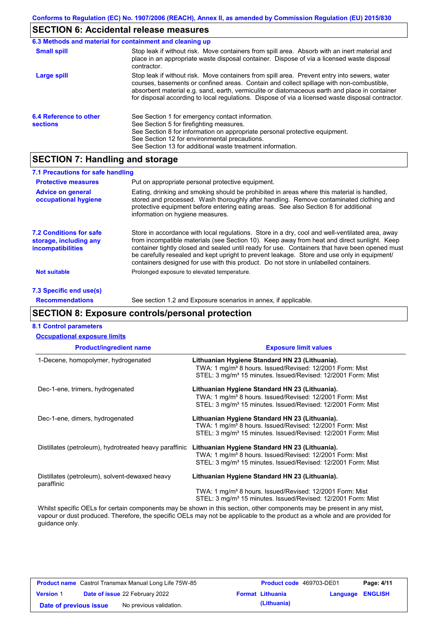## **SECTION 6: Accidental release measures**

|                                           | 6.3 Methods and material for containment and cleaning up                                                                                                                                                                                                                                                                                                                                       |
|-------------------------------------------|------------------------------------------------------------------------------------------------------------------------------------------------------------------------------------------------------------------------------------------------------------------------------------------------------------------------------------------------------------------------------------------------|
| <b>Small spill</b>                        | Stop leak if without risk. Move containers from spill area. Absorb with an inert material and<br>place in an appropriate waste disposal container. Dispose of via a licensed waste disposal<br>contractor.                                                                                                                                                                                     |
| Large spill                               | Stop leak if without risk. Move containers from spill area. Prevent entry into sewers, water<br>courses, basements or confined areas. Contain and collect spillage with non-combustible,<br>absorbent material e.g. sand, earth, vermiculite or diatomaceous earth and place in container<br>for disposal according to local regulations. Dispose of via a licensed waste disposal contractor. |
| 6.4 Reference to other<br><b>sections</b> | See Section 1 for emergency contact information.<br>See Section 5 for firefighting measures.<br>See Section 8 for information on appropriate personal protective equipment.<br>See Section 12 for environmental precautions.<br>See Section 13 for additional waste treatment information.                                                                                                     |

## **SECTION 7: Handling and storage**

| 7.1 Precautions for safe handling                                                    |                                                                                                                                                                                                                                                                                                                                                                                                                                                                                          |
|--------------------------------------------------------------------------------------|------------------------------------------------------------------------------------------------------------------------------------------------------------------------------------------------------------------------------------------------------------------------------------------------------------------------------------------------------------------------------------------------------------------------------------------------------------------------------------------|
| <b>Protective measures</b>                                                           | Put on appropriate personal protective equipment.                                                                                                                                                                                                                                                                                                                                                                                                                                        |
| <b>Advice on general</b><br>occupational hygiene                                     | Eating, drinking and smoking should be prohibited in areas where this material is handled,<br>stored and processed. Wash thoroughly after handling. Remove contaminated clothing and<br>protective equipment before entering eating areas. See also Section 8 for additional<br>information on hygiene measures.                                                                                                                                                                         |
| <b>7.2 Conditions for safe</b><br>storage, including any<br><b>incompatibilities</b> | Store in accordance with local regulations. Store in a dry, cool and well-ventilated area, away<br>from incompatible materials (see Section 10). Keep away from heat and direct sunlight. Keep<br>container tightly closed and sealed until ready for use. Containers that have been opened must<br>be carefully resealed and kept upright to prevent leakage. Store and use only in equipment/<br>containers designed for use with this product. Do not store in unlabelled containers. |
| <b>Not suitable</b>                                                                  | Prolonged exposure to elevated temperature.                                                                                                                                                                                                                                                                                                                                                                                                                                              |
| 7.3 Specific end use(s)                                                              |                                                                                                                                                                                                                                                                                                                                                                                                                                                                                          |
| <b>Recommendations</b>                                                               | See section 1.2 and Exposure scenarios in annex, if applicable.                                                                                                                                                                                                                                                                                                                                                                                                                          |

# **SECTION 8: Exposure controls/personal protection**

| <b>8.1 Control parameters</b>                                |                                                                                                                                                                                                    |
|--------------------------------------------------------------|----------------------------------------------------------------------------------------------------------------------------------------------------------------------------------------------------|
| <b>Occupational exposure limits</b>                          |                                                                                                                                                                                                    |
| <b>Product/ingredient name</b>                               | <b>Exposure limit values</b>                                                                                                                                                                       |
| 1-Decene, homopolymer, hydrogenated                          | Lithuanian Hygiene Standard HN 23 (Lithuania).<br>TWA: 1 mg/m <sup>3</sup> 8 hours. Issued/Revised: 12/2001 Form: Mist<br>STEL: 3 mg/m <sup>3</sup> 15 minutes. Issued/Revised: 12/2001 Form: Mist |
| Dec-1-ene, trimers, hydrogenated                             | Lithuanian Hygiene Standard HN 23 (Lithuania).<br>TWA: 1 mg/m <sup>3</sup> 8 hours. Issued/Revised: 12/2001 Form: Mist<br>STEL: 3 mg/m <sup>3</sup> 15 minutes. Issued/Revised: 12/2001 Form: Mist |
| Dec-1-ene, dimers, hydrogenated                              | Lithuanian Hygiene Standard HN 23 (Lithuania).<br>TWA: 1 mg/m <sup>3</sup> 8 hours. Issued/Revised: 12/2001 Form: Mist<br>STEL: 3 mg/m <sup>3</sup> 15 minutes. Issued/Revised: 12/2001 Form: Mist |
| Distillates (petroleum), hydrotreated heavy paraffinic       | Lithuanian Hygiene Standard HN 23 (Lithuania).<br>TWA: 1 mg/m <sup>3</sup> 8 hours. Issued/Revised: 12/2001 Form: Mist<br>STEL: 3 mg/m <sup>3</sup> 15 minutes. Issued/Revised: 12/2001 Form: Mist |
| Distillates (petroleum), solvent-dewaxed heavy<br>paraffinic | Lithuanian Hygiene Standard HN 23 (Lithuania).                                                                                                                                                     |
|                                                              | TWA: 1 mg/m <sup>3</sup> 8 hours. Issued/Revised: 12/2001 Form: Mist<br>STEL: 3 mg/m <sup>3</sup> 15 minutes. Issued/Revised: 12/2001 Form: Mist                                                   |

Whilst specific OELs for certain components may be shown in this section, other components may be present in any mist, vapour or dust produced. Therefore, the specific OELs may not be applicable to the product as a whole and are provided for guidance only.

| <b>Product name</b> Castrol Transmax Manual Long Life 75W-85 |                                       |                         | Product code 469703-DE01 |                         | Page: 4/11 |
|--------------------------------------------------------------|---------------------------------------|-------------------------|--------------------------|-------------------------|------------|
| <b>Version 1</b>                                             | <b>Date of issue 22 February 2022</b> |                         | <b>Format Lithuania</b>  | <b>Language ENGLISH</b> |            |
| Date of previous issue                                       |                                       | No previous validation. | (Lithuania)              |                         |            |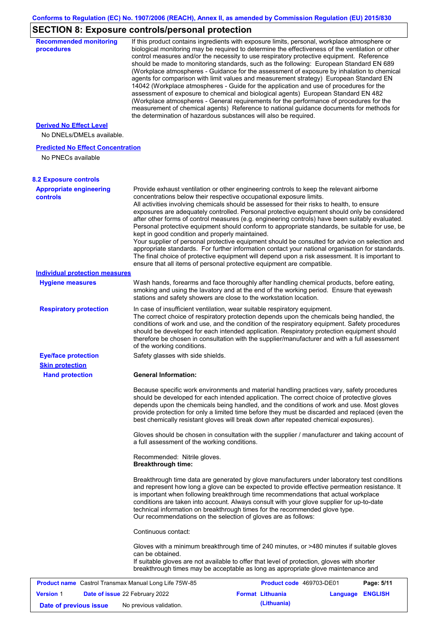## **SECTION 8: Exposure controls/personal protection**

| <b>Recommended monitoring</b><br>procedures                  |                                                           | If this product contains ingredients with exposure limits, personal, workplace atmosphere or<br>biological monitoring may be required to determine the effectiveness of the ventilation or other<br>control measures and/or the necessity to use respiratory protective equipment. Reference<br>should be made to monitoring standards, such as the following: European Standard EN 689<br>(Workplace atmospheres - Guidance for the assessment of exposure by inhalation to chemical<br>agents for comparison with limit values and measurement strategy) European Standard EN<br>14042 (Workplace atmospheres - Guide for the application and use of procedures for the<br>assessment of exposure to chemical and biological agents) European Standard EN 482<br>(Workplace atmospheres - General requirements for the performance of procedures for the<br>measurement of chemical agents) Reference to national guidance documents for methods for<br>the determination of hazardous substances will also be required. |                  |
|--------------------------------------------------------------|-----------------------------------------------------------|----------------------------------------------------------------------------------------------------------------------------------------------------------------------------------------------------------------------------------------------------------------------------------------------------------------------------------------------------------------------------------------------------------------------------------------------------------------------------------------------------------------------------------------------------------------------------------------------------------------------------------------------------------------------------------------------------------------------------------------------------------------------------------------------------------------------------------------------------------------------------------------------------------------------------------------------------------------------------------------------------------------------------|------------------|
| <b>Derived No Effect Level</b><br>No DNELs/DMELs available.  |                                                           |                                                                                                                                                                                                                                                                                                                                                                                                                                                                                                                                                                                                                                                                                                                                                                                                                                                                                                                                                                                                                            |                  |
| <b>Predicted No Effect Concentration</b>                     |                                                           |                                                                                                                                                                                                                                                                                                                                                                                                                                                                                                                                                                                                                                                                                                                                                                                                                                                                                                                                                                                                                            |                  |
| No PNECs available                                           |                                                           |                                                                                                                                                                                                                                                                                                                                                                                                                                                                                                                                                                                                                                                                                                                                                                                                                                                                                                                                                                                                                            |                  |
| <b>8.2 Exposure controls</b>                                 |                                                           |                                                                                                                                                                                                                                                                                                                                                                                                                                                                                                                                                                                                                                                                                                                                                                                                                                                                                                                                                                                                                            |                  |
| <b>Appropriate engineering</b><br><b>controls</b>            | kept in good condition and properly maintained.           | Provide exhaust ventilation or other engineering controls to keep the relevant airborne<br>concentrations below their respective occupational exposure limits.<br>All activities involving chemicals should be assessed for their risks to health, to ensure<br>exposures are adequately controlled. Personal protective equipment should only be considered<br>after other forms of control measures (e.g. engineering controls) have been suitably evaluated.<br>Personal protective equipment should conform to appropriate standards, be suitable for use, be<br>Your supplier of personal protective equipment should be consulted for advice on selection and<br>appropriate standards. For further information contact your national organisation for standards.<br>The final choice of protective equipment will depend upon a risk assessment. It is important to<br>ensure that all items of personal protective equipment are compatible.                                                                       |                  |
| <b>Individual protection measures</b>                        |                                                           |                                                                                                                                                                                                                                                                                                                                                                                                                                                                                                                                                                                                                                                                                                                                                                                                                                                                                                                                                                                                                            |                  |
| <b>Hygiene measures</b>                                      |                                                           | Wash hands, forearms and face thoroughly after handling chemical products, before eating,<br>smoking and using the lavatory and at the end of the working period. Ensure that eyewash<br>stations and safety showers are close to the workstation location.                                                                                                                                                                                                                                                                                                                                                                                                                                                                                                                                                                                                                                                                                                                                                                |                  |
| <b>Respiratory protection</b>                                | of the working conditions.                                | In case of insufficient ventilation, wear suitable respiratory equipment.<br>The correct choice of respiratory protection depends upon the chemicals being handled, the<br>conditions of work and use, and the condition of the respiratory equipment. Safety procedures<br>should be developed for each intended application. Respiratory protection equipment should<br>therefore be chosen in consultation with the supplier/manufacturer and with a full assessment                                                                                                                                                                                                                                                                                                                                                                                                                                                                                                                                                    |                  |
| <b>Eye/face protection</b>                                   | Safety glasses with side shields.                         |                                                                                                                                                                                                                                                                                                                                                                                                                                                                                                                                                                                                                                                                                                                                                                                                                                                                                                                                                                                                                            |                  |
| <b>Skin protection</b>                                       |                                                           |                                                                                                                                                                                                                                                                                                                                                                                                                                                                                                                                                                                                                                                                                                                                                                                                                                                                                                                                                                                                                            |                  |
| <b>Hand protection</b>                                       | <b>General Information:</b>                               |                                                                                                                                                                                                                                                                                                                                                                                                                                                                                                                                                                                                                                                                                                                                                                                                                                                                                                                                                                                                                            |                  |
|                                                              |                                                           | Because specific work environments and material handling practices vary, safety procedures<br>should be developed for each intended application. The correct choice of protective gloves<br>depends upon the chemicals being handled, and the conditions of work and use. Most gloves<br>provide protection for only a limited time before they must be discarded and replaced (even the<br>best chemically resistant gloves will break down after repeated chemical exposures).                                                                                                                                                                                                                                                                                                                                                                                                                                                                                                                                           |                  |
|                                                              | a full assessment of the working conditions.              | Gloves should be chosen in consultation with the supplier / manufacturer and taking account of                                                                                                                                                                                                                                                                                                                                                                                                                                                                                                                                                                                                                                                                                                                                                                                                                                                                                                                             |                  |
|                                                              | Recommended: Nitrile gloves.<br><b>Breakthrough time:</b> |                                                                                                                                                                                                                                                                                                                                                                                                                                                                                                                                                                                                                                                                                                                                                                                                                                                                                                                                                                                                                            |                  |
|                                                              |                                                           | Breakthrough time data are generated by glove manufacturers under laboratory test conditions<br>and represent how long a glove can be expected to provide effective permeation resistance. It<br>is important when following breakthrough time recommendations that actual workplace<br>conditions are taken into account. Always consult with your glove supplier for up-to-date<br>technical information on breakthrough times for the recommended glove type.<br>Our recommendations on the selection of gloves are as follows:                                                                                                                                                                                                                                                                                                                                                                                                                                                                                         |                  |
|                                                              | Continuous contact:                                       |                                                                                                                                                                                                                                                                                                                                                                                                                                                                                                                                                                                                                                                                                                                                                                                                                                                                                                                                                                                                                            |                  |
|                                                              | can be obtained.                                          | Gloves with a minimum breakthrough time of 240 minutes, or >480 minutes if suitable gloves<br>If suitable gloves are not available to offer that level of protection, gloves with shorter<br>breakthrough times may be acceptable as long as appropriate glove maintenance and                                                                                                                                                                                                                                                                                                                                                                                                                                                                                                                                                                                                                                                                                                                                             |                  |
| <b>Product name</b> Castrol Transmax Manual Long Life 75W-85 |                                                           | Product code 469703-DE01                                                                                                                                                                                                                                                                                                                                                                                                                                                                                                                                                                                                                                                                                                                                                                                                                                                                                                                                                                                                   | Page: 5/11       |
| <b>Version 1</b><br>Date of issue 22 February 2022           |                                                           | <b>Format Lithuania</b>                                                                                                                                                                                                                                                                                                                                                                                                                                                                                                                                                                                                                                                                                                                                                                                                                                                                                                                                                                                                    | Language ENGLISH |

**Date of previous issue** No previous validation. **(Lithuania)**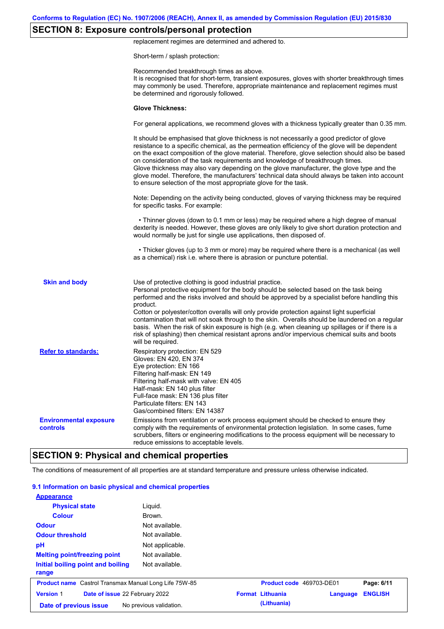## **SECTION 8: Exposure controls/personal protection**

replacement regimes are determined and adhered to.

Short-term / splash protection:

|                                           | Recommended breakthrough times as above.<br>It is recognised that for short-term, transient exposures, gloves with shorter breakthrough times<br>may commonly be used. Therefore, appropriate maintenance and replacement regimes must<br>be determined and rigorously followed.                                                                                                                                                                                                                                                                                                                                                                                                      |
|-------------------------------------------|---------------------------------------------------------------------------------------------------------------------------------------------------------------------------------------------------------------------------------------------------------------------------------------------------------------------------------------------------------------------------------------------------------------------------------------------------------------------------------------------------------------------------------------------------------------------------------------------------------------------------------------------------------------------------------------|
|                                           | <b>Glove Thickness:</b>                                                                                                                                                                                                                                                                                                                                                                                                                                                                                                                                                                                                                                                               |
|                                           | For general applications, we recommend gloves with a thickness typically greater than 0.35 mm.                                                                                                                                                                                                                                                                                                                                                                                                                                                                                                                                                                                        |
|                                           | It should be emphasised that glove thickness is not necessarily a good predictor of glove<br>resistance to a specific chemical, as the permeation efficiency of the glove will be dependent<br>on the exact composition of the glove material. Therefore, glove selection should also be based<br>on consideration of the task requirements and knowledge of breakthrough times.<br>Glove thickness may also vary depending on the glove manufacturer, the glove type and the<br>glove model. Therefore, the manufacturers' technical data should always be taken into account<br>to ensure selection of the most appropriate glove for the task.                                     |
|                                           | Note: Depending on the activity being conducted, gloves of varying thickness may be required<br>for specific tasks. For example:                                                                                                                                                                                                                                                                                                                                                                                                                                                                                                                                                      |
|                                           | • Thinner gloves (down to 0.1 mm or less) may be required where a high degree of manual<br>dexterity is needed. However, these gloves are only likely to give short duration protection and<br>would normally be just for single use applications, then disposed of.                                                                                                                                                                                                                                                                                                                                                                                                                  |
|                                           | • Thicker gloves (up to 3 mm or more) may be required where there is a mechanical (as well<br>as a chemical) risk i.e. where there is abrasion or puncture potential.                                                                                                                                                                                                                                                                                                                                                                                                                                                                                                                 |
| <b>Skin and body</b>                      | Use of protective clothing is good industrial practice.<br>Personal protective equipment for the body should be selected based on the task being<br>performed and the risks involved and should be approved by a specialist before handling this<br>product.<br>Cotton or polyester/cotton overalls will only provide protection against light superficial<br>contamination that will not soak through to the skin. Overalls should be laundered on a regular<br>basis. When the risk of skin exposure is high (e.g. when cleaning up spillages or if there is a<br>risk of splashing) then chemical resistant aprons and/or impervious chemical suits and boots<br>will be required. |
| <b>Refer to standards:</b>                | Respiratory protection: EN 529<br>Gloves: EN 420, EN 374<br>Eye protection: EN 166<br>Filtering half-mask: EN 149<br>Filtering half-mask with valve: EN 405<br>Half-mask: EN 140 plus filter<br>Full-face mask: EN 136 plus filter<br>Particulate filters: EN 143<br>Gas/combined filters: EN 14387                                                                                                                                                                                                                                                                                                                                                                                   |
| <b>Environmental exposure</b><br>controls | Emissions from ventilation or work process equipment should be checked to ensure they<br>comply with the requirements of environmental protection legislation. In some cases, fume<br>scrubbers, filters or engineering modifications to the process equipment will be necessary to<br>reduce emissions to acceptable levels.                                                                                                                                                                                                                                                                                                                                                         |

The conditions of measurement of all properties are at standard temperature and pressure unless otherwise indicated.

| 9.1 Information on basic physical and chemical properties    |                         |                          |          |                |
|--------------------------------------------------------------|-------------------------|--------------------------|----------|----------------|
| <b>Appearance</b>                                            |                         |                          |          |                |
| <b>Physical state</b>                                        | Liquid.                 |                          |          |                |
| <b>Colour</b>                                                | Brown.                  |                          |          |                |
| <b>Odour</b>                                                 | Not available.          |                          |          |                |
| <b>Odour threshold</b>                                       | Not available.          |                          |          |                |
| рH                                                           | Not applicable.         |                          |          |                |
| <b>Melting point/freezing point</b>                          | Not available.          |                          |          |                |
| Initial boiling point and boiling<br>range                   | Not available.          |                          |          |                |
| <b>Product name</b> Castrol Transmax Manual Long Life 75W-85 |                         | Product code 469703-DE01 |          | Page: 6/11     |
| <b>Version 1</b><br>Date of issue 22 February 2022           |                         | <b>Format Lithuania</b>  | Language | <b>ENGLISH</b> |
| Date of previous issue                                       | No previous validation. | (Lithuania)              |          |                |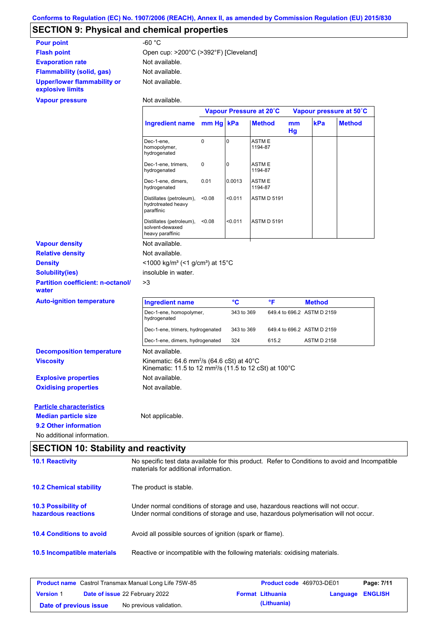# **SECTION 9: Physical and chemical properties**

| <b>Pour point</b>                               | -60 $^{\circ}$ C                      |
|-------------------------------------------------|---------------------------------------|
| <b>Flash point</b>                              | Open cup: >200°C (>392°F) [Cleveland] |
| <b>Evaporation rate</b>                         | Not available.                        |
| <b>Flammability (solid, gas)</b>                | Not available.                        |
| Upper/lower flammability or<br>explosive limits | Not available.                        |

#### **Vapour pressure**

Not available.

| Ingredient name mm Hg kPa<br>kPa<br><b>Method</b><br><b>Method</b><br>mm<br>Hg<br>0<br>$\mathbf 0$<br>Dec-1-ene,<br>ASTM E<br>1194-87<br>homopolymer,<br>hydrogenated<br>$\mathbf 0$<br>Dec-1-ene, trimers,<br>0<br><b>ASTME</b><br>hydrogenated<br>1194-87<br>Dec-1-ene, dimers,<br>0.01<br>0.0013<br>ASTM E<br>1194-87<br>hydrogenated<br>Distillates (petroleum),<br>< 0.08<br>< 0.011<br><b>ASTM D 5191</b><br>hydrotreated heavy<br>paraffinic<br>< 0.011<br><b>ASTM D 5191</b><br>Distillates (petroleum),<br>< 0.08<br>solvent-dewaxed<br>heavy paraffinic<br>Not available.<br>Not available.<br><1000 kg/m <sup>3</sup> (<1 g/cm <sup>3</sup> ) at 15°C<br><b>Density</b><br>insoluble in water.<br><b>Solubility(ies)</b><br><b>Partition coefficient: n-octanol/</b><br>>3<br>water<br>°C<br>°F<br><b>Ingredient name</b><br><b>Method</b><br>649.4 to 696.2 ASTM D 2159<br>Dec-1-ene, homopolymer,<br>343 to 369<br>hydrogenated<br>649.4 to 696.2 ASTM D 2159<br>Dec-1-ene, trimers, hydrogenated<br>343 to 369<br>Dec-1-ene, dimers, hydrogenated<br>324<br>615.2<br><b>ASTM D 2158</b><br>Not available.<br>Kinematic: 64.6 mm <sup>2</sup> /s (64.6 cSt) at $40^{\circ}$ C<br>Kinematic: 11.5 to 12 mm <sup>2</sup> /s (11.5 to 12 cSt) at 100°C<br>Not available.<br>Not available.<br><b>Particle characteristics</b><br>Not applicable. |                                  | Vapour Pressure at 20°C |  |  | Vapour pressure at 50°C |  |  |
|------------------------------------------------------------------------------------------------------------------------------------------------------------------------------------------------------------------------------------------------------------------------------------------------------------------------------------------------------------------------------------------------------------------------------------------------------------------------------------------------------------------------------------------------------------------------------------------------------------------------------------------------------------------------------------------------------------------------------------------------------------------------------------------------------------------------------------------------------------------------------------------------------------------------------------------------------------------------------------------------------------------------------------------------------------------------------------------------------------------------------------------------------------------------------------------------------------------------------------------------------------------------------------------------------------------------------------------------------------|----------------------------------|-------------------------|--|--|-------------------------|--|--|
|                                                                                                                                                                                                                                                                                                                                                                                                                                                                                                                                                                                                                                                                                                                                                                                                                                                                                                                                                                                                                                                                                                                                                                                                                                                                                                                                                            |                                  |                         |  |  |                         |  |  |
|                                                                                                                                                                                                                                                                                                                                                                                                                                                                                                                                                                                                                                                                                                                                                                                                                                                                                                                                                                                                                                                                                                                                                                                                                                                                                                                                                            |                                  |                         |  |  |                         |  |  |
|                                                                                                                                                                                                                                                                                                                                                                                                                                                                                                                                                                                                                                                                                                                                                                                                                                                                                                                                                                                                                                                                                                                                                                                                                                                                                                                                                            |                                  |                         |  |  |                         |  |  |
|                                                                                                                                                                                                                                                                                                                                                                                                                                                                                                                                                                                                                                                                                                                                                                                                                                                                                                                                                                                                                                                                                                                                                                                                                                                                                                                                                            |                                  |                         |  |  |                         |  |  |
|                                                                                                                                                                                                                                                                                                                                                                                                                                                                                                                                                                                                                                                                                                                                                                                                                                                                                                                                                                                                                                                                                                                                                                                                                                                                                                                                                            |                                  |                         |  |  |                         |  |  |
|                                                                                                                                                                                                                                                                                                                                                                                                                                                                                                                                                                                                                                                                                                                                                                                                                                                                                                                                                                                                                                                                                                                                                                                                                                                                                                                                                            |                                  |                         |  |  |                         |  |  |
|                                                                                                                                                                                                                                                                                                                                                                                                                                                                                                                                                                                                                                                                                                                                                                                                                                                                                                                                                                                                                                                                                                                                                                                                                                                                                                                                                            | <b>Vapour density</b>            |                         |  |  |                         |  |  |
|                                                                                                                                                                                                                                                                                                                                                                                                                                                                                                                                                                                                                                                                                                                                                                                                                                                                                                                                                                                                                                                                                                                                                                                                                                                                                                                                                            | <b>Relative density</b>          |                         |  |  |                         |  |  |
|                                                                                                                                                                                                                                                                                                                                                                                                                                                                                                                                                                                                                                                                                                                                                                                                                                                                                                                                                                                                                                                                                                                                                                                                                                                                                                                                                            |                                  |                         |  |  |                         |  |  |
|                                                                                                                                                                                                                                                                                                                                                                                                                                                                                                                                                                                                                                                                                                                                                                                                                                                                                                                                                                                                                                                                                                                                                                                                                                                                                                                                                            |                                  |                         |  |  |                         |  |  |
|                                                                                                                                                                                                                                                                                                                                                                                                                                                                                                                                                                                                                                                                                                                                                                                                                                                                                                                                                                                                                                                                                                                                                                                                                                                                                                                                                            |                                  |                         |  |  |                         |  |  |
|                                                                                                                                                                                                                                                                                                                                                                                                                                                                                                                                                                                                                                                                                                                                                                                                                                                                                                                                                                                                                                                                                                                                                                                                                                                                                                                                                            | <b>Auto-ignition temperature</b> |                         |  |  |                         |  |  |
|                                                                                                                                                                                                                                                                                                                                                                                                                                                                                                                                                                                                                                                                                                                                                                                                                                                                                                                                                                                                                                                                                                                                                                                                                                                                                                                                                            |                                  |                         |  |  |                         |  |  |
|                                                                                                                                                                                                                                                                                                                                                                                                                                                                                                                                                                                                                                                                                                                                                                                                                                                                                                                                                                                                                                                                                                                                                                                                                                                                                                                                                            |                                  |                         |  |  |                         |  |  |
|                                                                                                                                                                                                                                                                                                                                                                                                                                                                                                                                                                                                                                                                                                                                                                                                                                                                                                                                                                                                                                                                                                                                                                                                                                                                                                                                                            |                                  |                         |  |  |                         |  |  |
|                                                                                                                                                                                                                                                                                                                                                                                                                                                                                                                                                                                                                                                                                                                                                                                                                                                                                                                                                                                                                                                                                                                                                                                                                                                                                                                                                            | <b>Decomposition temperature</b> |                         |  |  |                         |  |  |
|                                                                                                                                                                                                                                                                                                                                                                                                                                                                                                                                                                                                                                                                                                                                                                                                                                                                                                                                                                                                                                                                                                                                                                                                                                                                                                                                                            | <b>Viscosity</b>                 |                         |  |  |                         |  |  |
|                                                                                                                                                                                                                                                                                                                                                                                                                                                                                                                                                                                                                                                                                                                                                                                                                                                                                                                                                                                                                                                                                                                                                                                                                                                                                                                                                            | <b>Explosive properties</b>      |                         |  |  |                         |  |  |
|                                                                                                                                                                                                                                                                                                                                                                                                                                                                                                                                                                                                                                                                                                                                                                                                                                                                                                                                                                                                                                                                                                                                                                                                                                                                                                                                                            | <b>Oxidising properties</b>      |                         |  |  |                         |  |  |
|                                                                                                                                                                                                                                                                                                                                                                                                                                                                                                                                                                                                                                                                                                                                                                                                                                                                                                                                                                                                                                                                                                                                                                                                                                                                                                                                                            |                                  |                         |  |  |                         |  |  |
|                                                                                                                                                                                                                                                                                                                                                                                                                                                                                                                                                                                                                                                                                                                                                                                                                                                                                                                                                                                                                                                                                                                                                                                                                                                                                                                                                            | <b>Median particle size</b>      |                         |  |  |                         |  |  |
|                                                                                                                                                                                                                                                                                                                                                                                                                                                                                                                                                                                                                                                                                                                                                                                                                                                                                                                                                                                                                                                                                                                                                                                                                                                                                                                                                            | 9.2 Other information            |                         |  |  |                         |  |  |
|                                                                                                                                                                                                                                                                                                                                                                                                                                                                                                                                                                                                                                                                                                                                                                                                                                                                                                                                                                                                                                                                                                                                                                                                                                                                                                                                                            | No additional information.       |                         |  |  |                         |  |  |

### **SECTION 10: Stability and reactivity**

| <b>10.1 Reactivity</b>                            | No specific test data available for this product. Refer to Conditions to avoid and Incompatible<br>materials for additional information.                                |
|---------------------------------------------------|-------------------------------------------------------------------------------------------------------------------------------------------------------------------------|
| <b>10.2 Chemical stability</b>                    | The product is stable.                                                                                                                                                  |
| <b>10.3 Possibility of</b><br>hazardous reactions | Under normal conditions of storage and use, hazardous reactions will not occur.<br>Under normal conditions of storage and use, hazardous polymerisation will not occur. |
| <b>10.4 Conditions to avoid</b>                   | Avoid all possible sources of ignition (spark or flame).                                                                                                                |
| 10.5 Incompatible materials                       | Reactive or incompatible with the following materials: oxidising materials.                                                                                             |

| <b>Product name</b> Castrol Transmax Manual Long Life 75W-85 |  |                                       | <b>Product code</b> 469703-DE01 |                         | Page: 7/11              |  |
|--------------------------------------------------------------|--|---------------------------------------|---------------------------------|-------------------------|-------------------------|--|
| <b>Version 1</b>                                             |  | <b>Date of issue 22 February 2022</b> |                                 | <b>Format Lithuania</b> | <b>Language ENGLISH</b> |  |
| Date of previous issue                                       |  | No previous validation.               |                                 | (Lithuania)             |                         |  |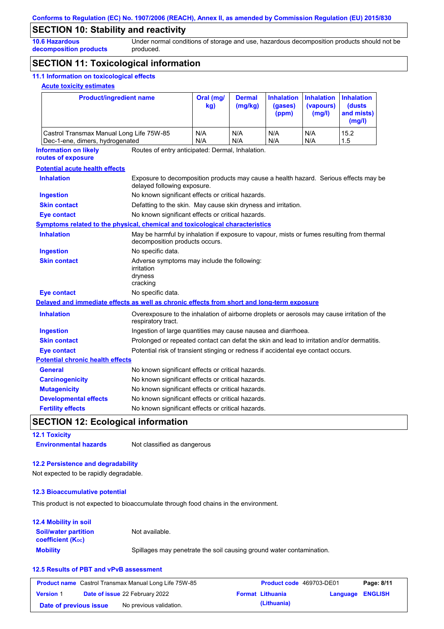### **SECTION 10: Stability and reactivity**

**10.6 Hazardous decomposition products** Under normal conditions of storage and use, hazardous decomposition products should not be produced.

### **SECTION 11: Toxicological information**

#### **11.1 Information on toxicological effects**

#### **Acute toxicity estimates**

|                                                                                            | <b>Product/ingredient name</b>                                                                                      |                                                                                                                             | <b>Dermal</b><br>(mg/kg) | <b>Inhalation</b><br>(gases)<br>(ppm) | <b>Inhalation</b><br>(vapours)<br>(mg/l) | <b>Inhalation</b><br>(dusts<br>and mists)<br>(mg/l) |
|--------------------------------------------------------------------------------------------|---------------------------------------------------------------------------------------------------------------------|-----------------------------------------------------------------------------------------------------------------------------|--------------------------|---------------------------------------|------------------------------------------|-----------------------------------------------------|
| Castrol Transmax Manual Long Life 75W-85<br>Dec-1-ene, dimers, hydrogenated                |                                                                                                                     | N/A<br>N/A                                                                                                                  | N/A<br>N/A               | N/A<br>N/A                            | N/A<br>N/A                               | 15.2<br>1.5                                         |
| <b>Information on likely</b><br>routes of exposure                                         | Routes of entry anticipated: Dermal, Inhalation.                                                                    |                                                                                                                             |                          |                                       |                                          |                                                     |
| <b>Potential acute health effects</b>                                                      |                                                                                                                     |                                                                                                                             |                          |                                       |                                          |                                                     |
| <b>Inhalation</b>                                                                          | Exposure to decomposition products may cause a health hazard. Serious effects may be<br>delayed following exposure. |                                                                                                                             |                          |                                       |                                          |                                                     |
| <b>Ingestion</b>                                                                           | No known significant effects or critical hazards.                                                                   |                                                                                                                             |                          |                                       |                                          |                                                     |
| <b>Skin contact</b>                                                                        | Defatting to the skin. May cause skin dryness and irritation.                                                       |                                                                                                                             |                          |                                       |                                          |                                                     |
| <b>Eye contact</b>                                                                         | No known significant effects or critical hazards.                                                                   |                                                                                                                             |                          |                                       |                                          |                                                     |
| <b>Symptoms related to the physical, chemical and toxicological characteristics</b>        |                                                                                                                     |                                                                                                                             |                          |                                       |                                          |                                                     |
| <b>Inhalation</b>                                                                          |                                                                                                                     | May be harmful by inhalation if exposure to vapour, mists or fumes resulting from thermal<br>decomposition products occurs. |                          |                                       |                                          |                                                     |
| <b>Ingestion</b>                                                                           | No specific data.                                                                                                   |                                                                                                                             |                          |                                       |                                          |                                                     |
| <b>Skin contact</b>                                                                        | Adverse symptoms may include the following:<br>irritation<br>dryness<br>cracking                                    |                                                                                                                             |                          |                                       |                                          |                                                     |
| <b>Eye contact</b>                                                                         | No specific data.                                                                                                   |                                                                                                                             |                          |                                       |                                          |                                                     |
| Delayed and immediate effects as well as chronic effects from short and long-term exposure |                                                                                                                     |                                                                                                                             |                          |                                       |                                          |                                                     |
| <b>Inhalation</b>                                                                          | Overexposure to the inhalation of airborne droplets or aerosols may cause irritation of the<br>respiratory tract.   |                                                                                                                             |                          |                                       |                                          |                                                     |
| <b>Ingestion</b>                                                                           | Ingestion of large quantities may cause nausea and diarrhoea.                                                       |                                                                                                                             |                          |                                       |                                          |                                                     |
| <b>Skin contact</b>                                                                        | Prolonged or repeated contact can defat the skin and lead to irritation and/or dermatitis.                          |                                                                                                                             |                          |                                       |                                          |                                                     |
| <b>Eye contact</b>                                                                         | Potential risk of transient stinging or redness if accidental eye contact occurs.                                   |                                                                                                                             |                          |                                       |                                          |                                                     |
| <b>Potential chronic health effects</b>                                                    |                                                                                                                     |                                                                                                                             |                          |                                       |                                          |                                                     |
| <b>General</b>                                                                             | No known significant effects or critical hazards.                                                                   |                                                                                                                             |                          |                                       |                                          |                                                     |
| <b>Carcinogenicity</b>                                                                     | No known significant effects or critical hazards.                                                                   |                                                                                                                             |                          |                                       |                                          |                                                     |
| <b>Mutagenicity</b>                                                                        | No known significant effects or critical hazards.                                                                   |                                                                                                                             |                          |                                       |                                          |                                                     |
| <b>Developmental effects</b>                                                               |                                                                                                                     |                                                                                                                             |                          |                                       |                                          |                                                     |
|                                                                                            |                                                                                                                     | No known significant effects or critical hazards.<br>No known significant effects or critical hazards.                      |                          |                                       |                                          |                                                     |

## **SECTION 12: Ecological information**

**12.1 Toxicity**

**Environmental hazards** Not classified as dangerous

#### **12.2 Persistence and degradability**

Not expected to be rapidly degradable.

#### **12.3 Bioaccumulative potential**

This product is not expected to bioaccumulate through food chains in the environment.

#### **12.4 Mobility in soil**

**Mobility** Spillages may penetrate the soil causing ground water contamination. **Soil/water partition coefficient (KOC)** Not available.

#### **12.5 Results of PBT and vPvB assessment**

| <b>Product name</b> Castrol Transmax Manual Long Life 75W-85 |  |                                       | <b>Product code</b> 469703-DE01 |                         | Page: 8/11              |  |
|--------------------------------------------------------------|--|---------------------------------------|---------------------------------|-------------------------|-------------------------|--|
| <b>Version 1</b>                                             |  | <b>Date of issue 22 February 2022</b> |                                 | <b>Format Lithuania</b> | <b>Language ENGLISH</b> |  |
| Date of previous issue                                       |  | No previous validation.               |                                 | (Lithuania)             |                         |  |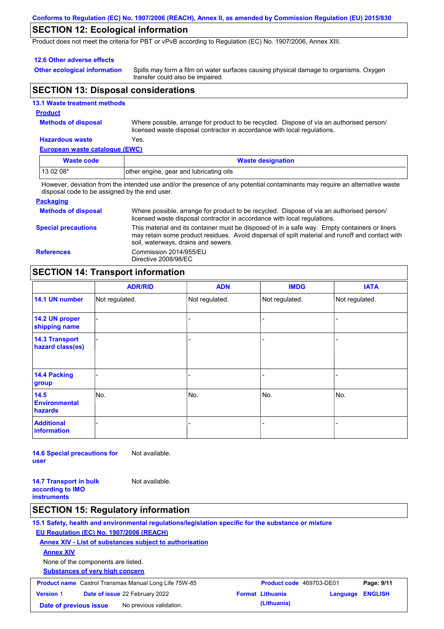#### **Conforms to Regulation (EC) No. 1907/2006 (REACH), Annex II, as amended by Commission Regulation (EU) 2015/830**

### **SECTION 12: Ecological information**

Product does not meet the criteria for PBT or vPvB according to Regulation (EC) No. 1907/2006, Annex XIII.

#### **12.6 Other adverse effects**

**Other ecological information**

Spills may form a film on water surfaces causing physical damage to organisms. Oxygen transfer could also be impaired.

### **SECTION 13: Disposal considerations**

|  | <b>13.1 Waste treatment methods</b> |  |
|--|-------------------------------------|--|
|  |                                     |  |

#### **Product**

**Methods of disposal**

Where possible, arrange for product to be recycled. Dispose of via an authorised person/ licensed waste disposal contractor in accordance with local regulations.

#### **Hazardous waste** Yes.

**European waste catalogue (EWC)**

| Waste code | <b>Waste designation</b>                                                                                                    |
|------------|-----------------------------------------------------------------------------------------------------------------------------|
| $130208*$  | other engine, gear and lubricating oils                                                                                     |
|            | However, deviation from the intended use and/or the presence of any potential contaminants may require an alternative waste |

disposal code to be assigned by the end user.

#### **Packaging**

| <b>Methods of disposal</b> | Where possible, arrange for product to be recycled. Dispose of via an authorised person/<br>licensed waste disposal contractor in accordance with local regulations.                                                                    |
|----------------------------|-----------------------------------------------------------------------------------------------------------------------------------------------------------------------------------------------------------------------------------------|
| <b>Special precautions</b> | This material and its container must be disposed of in a safe way. Empty containers or liners<br>may retain some product residues. Avoid dispersal of spilt material and runoff and contact with<br>soil, waterways, drains and sewers. |
| <b>References</b>          | Commission 2014/955/EU<br>Directive 2008/98/EC                                                                                                                                                                                          |

## **SECTION 14: Transport information**

|                                           | <b>ADR/RID</b> | <b>ADN</b>     | <b>IMDG</b>    | <b>IATA</b>    |
|-------------------------------------------|----------------|----------------|----------------|----------------|
| 14.1 UN number                            | Not regulated. | Not regulated. | Not regulated. | Not regulated. |
| 14.2 UN proper<br>shipping name           |                |                |                |                |
| <b>14.3 Transport</b><br>hazard class(es) |                |                |                |                |
| 14.4 Packing<br>group                     |                |                |                |                |
| 14.5<br><b>Environmental</b><br>hazards   | No.            | No.            | No.            | No.            |
| <b>Additional</b><br><b>information</b>   |                |                |                |                |

**14.6 Special precautions for user** Not available.

**14.7 Transport in bulk according to IMO instruments**

## Not available.

### **SECTION 15: Regulatory information**

**15.1 Safety, health and environmental regulations/legislation specific for the substance or mixture EU Regulation (EC) No. 1907/2006 (REACH)**

**Annex XIV - List of substances subject to authorisation**

**Annex XIV**

None of the components are listed.

**Substances of very high concern**

| <b>Product name</b> Castrol Transmax Manual Long Life 75W-85 |  |                                       | <b>Product code</b> 469703-DE01 |                         | Page: 9/11       |  |
|--------------------------------------------------------------|--|---------------------------------------|---------------------------------|-------------------------|------------------|--|
| <b>Version 1</b>                                             |  | <b>Date of issue 22 February 2022</b> |                                 | <b>Format Lithuania</b> | Language ENGLISH |  |
| Date of previous issue                                       |  | No previous validation.               |                                 | (Lithuania)             |                  |  |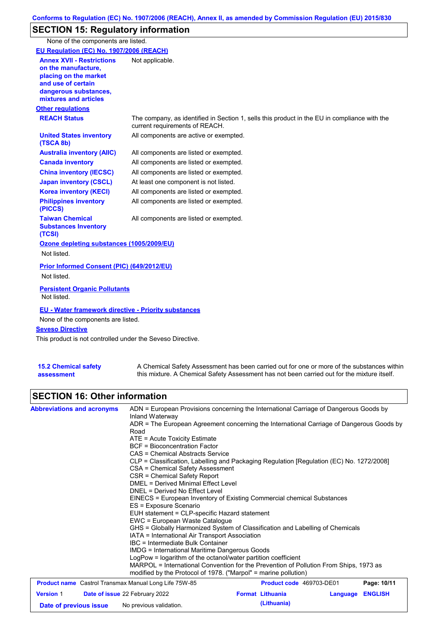# **SECTION 15: Regulatory information**

None of the components are listed.

| EU Regulation (EC) No. 1907/2006 (REACH)                                                                                                                 |                                                                                                                                |
|----------------------------------------------------------------------------------------------------------------------------------------------------------|--------------------------------------------------------------------------------------------------------------------------------|
| <b>Annex XVII - Restrictions</b><br>on the manufacture,<br>placing on the market<br>and use of certain<br>dangerous substances,<br>mixtures and articles | Not applicable.                                                                                                                |
| <b>Other regulations</b>                                                                                                                                 |                                                                                                                                |
| <b>REACH Status</b>                                                                                                                                      | The company, as identified in Section 1, sells this product in the EU in compliance with the<br>current requirements of REACH. |
| <b>United States inventory</b><br>(TSCA 8b)                                                                                                              | All components are active or exempted.                                                                                         |
| <b>Australia inventory (AIIC)</b>                                                                                                                        | All components are listed or exempted.                                                                                         |
| <b>Canada inventory</b>                                                                                                                                  | All components are listed or exempted.                                                                                         |
| <b>China inventory (IECSC)</b>                                                                                                                           | All components are listed or exempted.                                                                                         |
| <b>Japan inventory (CSCL)</b>                                                                                                                            | At least one component is not listed.                                                                                          |
| <b>Korea inventory (KECI)</b>                                                                                                                            | All components are listed or exempted.                                                                                         |
| <b>Philippines inventory</b><br>(PICCS)                                                                                                                  | All components are listed or exempted.                                                                                         |
| <b>Taiwan Chemical</b><br><b>Substances Inventory</b><br>(TCSI)                                                                                          | All components are listed or exempted.                                                                                         |
| Ozone depleting substances (1005/2009/EU)<br>Not listed.                                                                                                 |                                                                                                                                |
| Prior Informed Consent (PIC) (649/2012/EU)<br>Not listed.                                                                                                |                                                                                                                                |
| <b>Persistent Organic Pollutants</b><br>Not listed.                                                                                                      |                                                                                                                                |
| <b>EU - Water framework directive - Priority substances</b><br>None of the components are listed.                                                        |                                                                                                                                |
| <b>Seveso Directive</b>                                                                                                                                  |                                                                                                                                |
| This product is not controlled under the Seveso Directive.                                                                                               |                                                                                                                                |

| <b>15.2 Chemical safety</b> | A Chemical Safety Assessment has been carried out for one or more of the substances within  |
|-----------------------------|---------------------------------------------------------------------------------------------|
| assessment                  | this mixture. A Chemical Safety Assessment has not been carried out for the mixture itself. |

## **SECTION 16: Other information**

| <b>Abbreviations and acronyms</b>                            | ADN = European Provisions concerning the International Carriage of Dangerous Goods by<br>Inland Waterway                                                                                                                                                                                                                                                                                                                                                                                                                                                                                                                                                                                                               |                                                                                       |          |                |  |  |  |
|--------------------------------------------------------------|------------------------------------------------------------------------------------------------------------------------------------------------------------------------------------------------------------------------------------------------------------------------------------------------------------------------------------------------------------------------------------------------------------------------------------------------------------------------------------------------------------------------------------------------------------------------------------------------------------------------------------------------------------------------------------------------------------------------|---------------------------------------------------------------------------------------|----------|----------------|--|--|--|
|                                                              | ADR = The European Agreement concerning the International Carriage of Dangerous Goods by<br>Road                                                                                                                                                                                                                                                                                                                                                                                                                                                                                                                                                                                                                       |                                                                                       |          |                |  |  |  |
|                                                              | ATE = Acute Toxicity Estimate                                                                                                                                                                                                                                                                                                                                                                                                                                                                                                                                                                                                                                                                                          |                                                                                       |          |                |  |  |  |
|                                                              | <b>BCF</b> = Bioconcentration Factor                                                                                                                                                                                                                                                                                                                                                                                                                                                                                                                                                                                                                                                                                   |                                                                                       |          |                |  |  |  |
|                                                              | CAS = Chemical Abstracts Service                                                                                                                                                                                                                                                                                                                                                                                                                                                                                                                                                                                                                                                                                       |                                                                                       |          |                |  |  |  |
|                                                              | CLP = Classification, Labelling and Packaging Regulation [Regulation (EC) No. 1272/2008]<br>CSA = Chemical Safety Assessment<br>CSR = Chemical Safety Report<br>DMEL = Derived Minimal Effect Level<br>DNEL = Derived No Effect Level<br>EINECS = European Inventory of Existing Commercial chemical Substances<br>ES = Exposure Scenario<br>EUH statement = CLP-specific Hazard statement<br>EWC = European Waste Cataloque<br>GHS = Globally Harmonized System of Classification and Labelling of Chemicals<br>IATA = International Air Transport Association<br>IBC = Intermediate Bulk Container<br>IMDG = International Maritime Dangerous Goods<br>LogPow = logarithm of the octanol/water partition coefficient |                                                                                       |          |                |  |  |  |
|                                                              |                                                                                                                                                                                                                                                                                                                                                                                                                                                                                                                                                                                                                                                                                                                        |                                                                                       |          |                |  |  |  |
|                                                              |                                                                                                                                                                                                                                                                                                                                                                                                                                                                                                                                                                                                                                                                                                                        |                                                                                       |          |                |  |  |  |
|                                                              |                                                                                                                                                                                                                                                                                                                                                                                                                                                                                                                                                                                                                                                                                                                        |                                                                                       |          |                |  |  |  |
|                                                              |                                                                                                                                                                                                                                                                                                                                                                                                                                                                                                                                                                                                                                                                                                                        |                                                                                       |          |                |  |  |  |
|                                                              |                                                                                                                                                                                                                                                                                                                                                                                                                                                                                                                                                                                                                                                                                                                        |                                                                                       |          |                |  |  |  |
|                                                              |                                                                                                                                                                                                                                                                                                                                                                                                                                                                                                                                                                                                                                                                                                                        |                                                                                       |          |                |  |  |  |
|                                                              |                                                                                                                                                                                                                                                                                                                                                                                                                                                                                                                                                                                                                                                                                                                        |                                                                                       |          |                |  |  |  |
|                                                              |                                                                                                                                                                                                                                                                                                                                                                                                                                                                                                                                                                                                                                                                                                                        |                                                                                       |          |                |  |  |  |
|                                                              |                                                                                                                                                                                                                                                                                                                                                                                                                                                                                                                                                                                                                                                                                                                        |                                                                                       |          |                |  |  |  |
|                                                              |                                                                                                                                                                                                                                                                                                                                                                                                                                                                                                                                                                                                                                                                                                                        |                                                                                       |          |                |  |  |  |
|                                                              |                                                                                                                                                                                                                                                                                                                                                                                                                                                                                                                                                                                                                                                                                                                        |                                                                                       |          |                |  |  |  |
|                                                              | modified by the Protocol of 1978. ("Marpol" = marine pollution)                                                                                                                                                                                                                                                                                                                                                                                                                                                                                                                                                                                                                                                        | MARPOL = International Convention for the Prevention of Pollution From Ships, 1973 as |          |                |  |  |  |
| <b>Product name</b> Castrol Transmax Manual Long Life 75W-85 |                                                                                                                                                                                                                                                                                                                                                                                                                                                                                                                                                                                                                                                                                                                        | <b>Product code</b> 469703-DE01                                                       |          | Page: 10/11    |  |  |  |
| <b>Version 1</b>                                             | Date of issue 22 February 2022                                                                                                                                                                                                                                                                                                                                                                                                                                                                                                                                                                                                                                                                                         | <b>Format Lithuania</b>                                                               | Language | <b>ENGLISH</b> |  |  |  |

**Date of previous issue** No previous validation. **(Lithuania)**